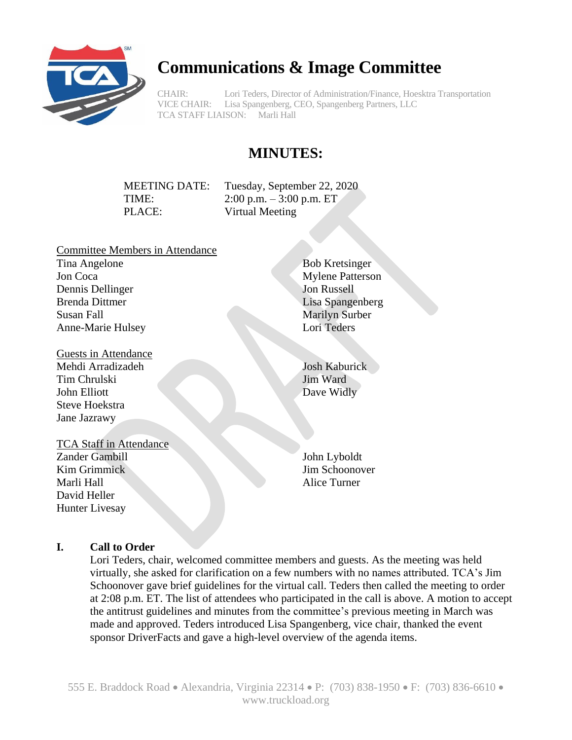

# **Communications & Image Committee**

CHAIR: Lori Teders, Director of Administration/Finance, Hoesktra Transportation VICE CHAIR: Lisa Spangenberg, CEO, Spangenberg Partners, LLC TCA STAFF LIAISON: Marli Hall

# **MINUTES:**

PLACE: Virtual Meeting

MEETING DATE: Tuesday, September 22, 2020 TIME: 2:00 p.m. – 3:00 p.m. ET

- Committee Members in Attendance Tina Angelone Jon Coca Dennis Dellinger Brenda Dittmer Susan Fall Anne-Marie Hulsey
- Guests in Attendance Mehdi Arradizadeh Tim Chrulski John Elliott Steve Hoekstra Jane Jazrawy

TCA Staff in Attendance Zander Gambill Kim Grimmick Marli Hall David Heller Hunter Livesay

Bob Kretsinger Mylene Patterson Jon Russell Lisa Spangenberg Marilyn Surber Lori Teders

Josh Kaburick Jim Ward Dave Widly

John Lyboldt Jim Schoonover Alice Turner

## **I. Call to Order**

Lori Teders, chair, welcomed committee members and guests. As the meeting was held virtually, she asked for clarification on a few numbers with no names attributed. TCA's Jim Schoonover gave brief guidelines for the virtual call. Teders then called the meeting to order at 2:08 p.m. ET. The list of attendees who participated in the call is above. A motion to accept the antitrust guidelines and minutes from the committee's previous meeting in March was made and approved. Teders introduced Lisa Spangenberg, vice chair, thanked the event sponsor DriverFacts and gave a high-level overview of the agenda items.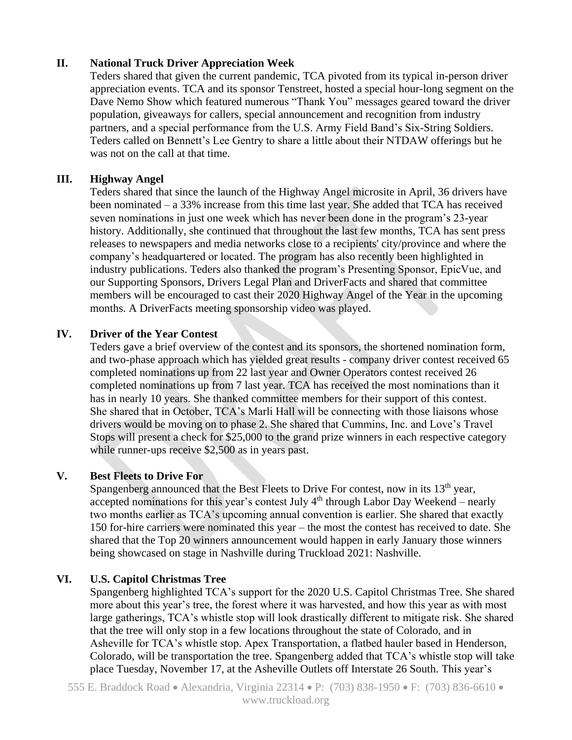## **II. National Truck Driver Appreciation Week**

Teders shared that given the current pandemic, TCA pivoted from its typical in-person driver appreciation events. TCA and its sponsor Tenstreet, hosted a special hour-long segment on the Dave Nemo Show which featured numerous "Thank You" messages geared toward the driver population, giveaways for callers, special announcement and recognition from industry partners, and a special performance from the U.S. Army Field Band's Six-String Soldiers. Teders called on Bennett's Lee Gentry to share a little about their NTDAW offerings but he was not on the call at that time.

#### **III. Highway Angel**

Teders shared that since the launch of the Highway Angel microsite in April, 36 drivers have been nominated – a 33% increase from this time last year. She added that TCA has received seven nominations in just one week which has never been done in the program's 23-year history. Additionally, she continued that throughout the last few months, TCA has sent press releases to newspapers and media networks close to a recipients' city/province and where the company's headquartered or located. The program has also recently been highlighted in industry publications. Teders also thanked the program's Presenting Sponsor, EpicVue, and our Supporting Sponsors, Drivers Legal Plan and DriverFacts and shared that committee members will be encouraged to cast their 2020 Highway Angel of the Year in the upcoming months. A DriverFacts meeting sponsorship video was played.

## **IV. Driver of the Year Contest**

Teders gave a brief overview of the contest and its sponsors, the shortened nomination form, and two-phase approach which has yielded great results - company driver contest received 65 completed nominations up from 22 last year and Owner Operators contest received 26 completed nominations up from 7 last year. TCA has received the most nominations than it has in nearly 10 years. She thanked committee members for their support of this contest. She shared that in October, TCA's Marli Hall will be connecting with those liaisons whose drivers would be moving on to phase 2. She shared that Cummins, Inc. and Love's Travel Stops will present a check for \$25,000 to the grand prize winners in each respective category while runner-ups receive \$2,500 as in years past.

#### **V. Best Fleets to Drive For**

Spangenberg announced that the Best Fleets to Drive For contest, now in its  $13<sup>th</sup>$  year, accepted nominations for this year's contest July  $4<sup>th</sup>$  through Labor Day Weekend – nearly two months earlier as TCA's upcoming annual convention is earlier. She shared that exactly 150 for-hire carriers were nominated this year – the most the contest has received to date. She shared that the Top 20 winners announcement would happen in early January those winners being showcased on stage in Nashville during Truckload 2021: Nashville.

## **VI. U.S. Capitol Christmas Tree**

Spangenberg highlighted TCA's support for the 2020 U.S. Capitol Christmas Tree. She shared more about this year's tree, the forest where it was harvested, and how this year as with most large gatherings, TCA's whistle stop will look drastically different to mitigate risk. She shared that the tree will only stop in a few locations throughout the state of Colorado, and in Asheville for TCA's whistle stop. Apex Transportation, a flatbed hauler based in Henderson, Colorado, will be transportation the tree. Spangenberg added that TCA's whistle stop will take place Tuesday, November 17, at the Asheville Outlets off Interstate 26 South. This year's